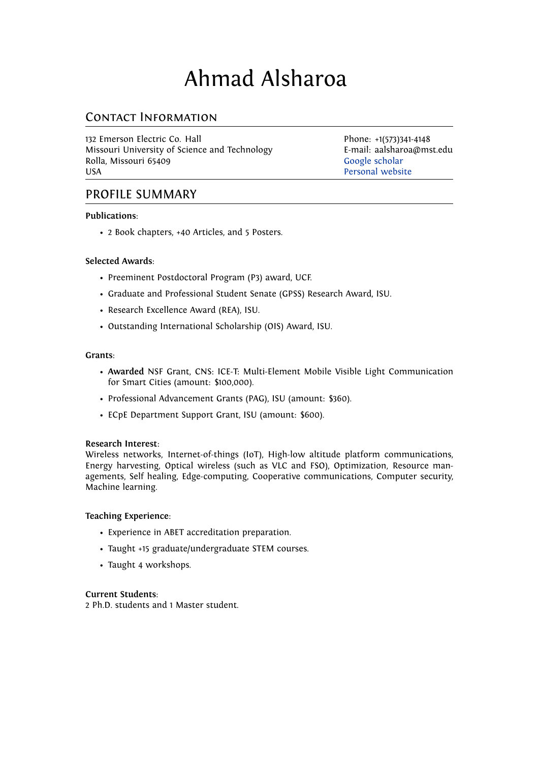# Ahmad Alsharoa

## Contact Information

132 Emerson Electric Co. Hall Phone: +1(573)341-4148 Missouri University of Science and Technology **E-mail: aalsharoa@mst.edu**<br>Rolla, Missouri 65409 **E-mail: aalsharoa@mst.edu** Rolla, Missouri 65409 USA [Personal website](https://sites.google.com/site/amalsharoa/)

## PROFILE SUMMARY

#### **Publications**:

• 2 Book chapters, +40 Articles, and 5 Posters.

#### **Selected Awards**:

- Preeminent Postdoctoral Program (P3) award, UCF.
- Graduate and Professional Student Senate (GPSS) Research Award, ISU.
- Research Excellence Award (REA), ISU.
- Outstanding International Scholarship (OIS) Award, ISU.

#### **Grants**:

- **Awarded** NSF Grant, CNS: ICE-T: Multi-Element Mobile Visible Light Communication for Smart Cities (amount: \$100,000).
- Professional Advancement Grants (PAG), ISU (amount: \$360).
- ECpE Department Support Grant, ISU (amount: \$600).

#### **Research Interest**:

Wireless networks, Internet-of-things (IoT), High-low altitude platform communications, Energy harvesting, Optical wireless (such as VLC and FSO), Optimization, Resource managements, Self healing, Edge-computing, Cooperative communications, Computer security, Machine learning.

#### **Teaching Experience**:

- Experience in ABET accreditation preparation.
- Taught +15 graduate/undergraduate STEM courses.
- Taught 4 workshops.

#### **Current Students**:

2 Ph.D. students and 1 Master student.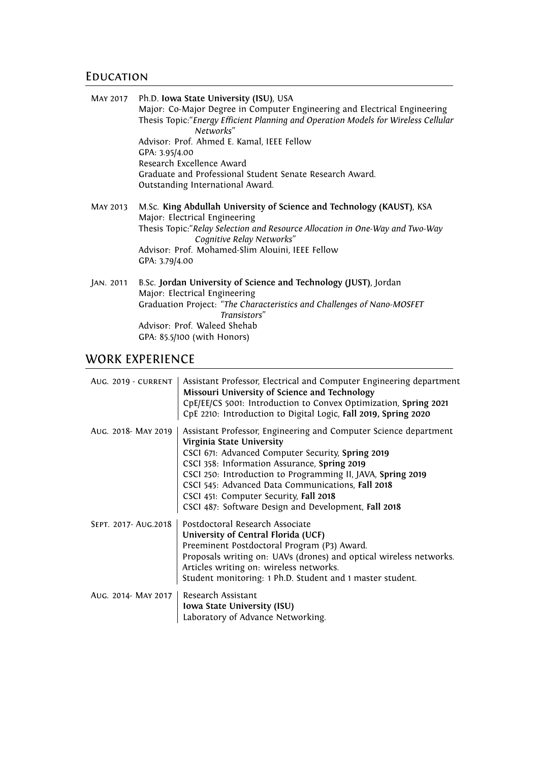## **EDUCATION**

|           | MAY 2017 Ph.D. Iowa State University (ISU), USA                                                                                                                               |
|-----------|-------------------------------------------------------------------------------------------------------------------------------------------------------------------------------|
|           | Major: Co-Major Degree in Computer Engineering and Electrical Engineering<br>Thesis Topic: "Energy Efficient Planning and Operation Models for Wireless Cellular<br>Networks" |
|           | Advisor: Prof. Ahmed E. Kamal, IEEE Fellow                                                                                                                                    |
|           | GPA: 3.95/4.00                                                                                                                                                                |
|           | Research Excellence Award                                                                                                                                                     |
|           | Graduate and Professional Student Senate Research Award.<br>Outstanding International Award.                                                                                  |
| MAY 2013  | M.Sc. King Abdullah University of Science and Technology (KAUST), KSA<br>Major: Electrical Engineering                                                                        |
|           | Thesis Topic: "Relay Selection and Resource Allocation in One-Way and Two-Way<br>Cognitive Relay Networks"                                                                    |
|           | Advisor: Prof. Mohamed-Slim Alouini, IEEE Fellow                                                                                                                              |
|           | GPA: 3.79/4.00                                                                                                                                                                |
| JAN. 2011 | B.Sc. Jordan University of Science and Technology (JUST), Jordan                                                                                                              |
|           | Major: Electrical Engineering                                                                                                                                                 |
|           | Graduation Project: "The Characteristics and Challenges of Nano-MOSFET                                                                                                        |
|           | Transistors"                                                                                                                                                                  |
|           | Advisor: Prof. Waleed Shehab                                                                                                                                                  |

GPA: 85.5/100 (with Honors)

## WORK EXPERIENCE

| AUG. 2019 - CURRENT  | Assistant Professor, Electrical and Computer Engineering department<br>Missouri University of Science and Technology<br>CpE/EE/CS 5001: Introduction to Convex Optimization, Spring 2021<br>CpE 2210: Introduction to Digital Logic, Fall 2019, Spring 2020                                                                                                                                                              |
|----------------------|--------------------------------------------------------------------------------------------------------------------------------------------------------------------------------------------------------------------------------------------------------------------------------------------------------------------------------------------------------------------------------------------------------------------------|
| AUG. 2018- MAY 2019  | Assistant Professor, Engineering and Computer Science department<br>Virginia State University<br>CSCI 671: Advanced Computer Security, Spring 2019<br>CSCI 358: Information Assurance, Spring 2019<br>CSCI 250: Introduction to Programming II, JAVA, Spring 2019<br>CSCI 545: Advanced Data Communications, Fall 2018<br>CSCI 451: Computer Security, Fall 2018<br>CSCI 487: Software Design and Development, Fall 2018 |
| SEPT. 2017- AUG.2018 | Postdoctoral Research Associate<br>University of Central Florida (UCF)<br>Preeminent Postdoctoral Program (P3) Award.<br>Proposals writing on: UAVs (drones) and optical wireless networks.<br>Articles writing on: wireless networks.<br>Student monitoring: 1 Ph.D. Student and 1 master student.                                                                                                                      |
| AUG. 2014- MAY 2017  | Research Assistant<br>Iowa State University (ISU)<br>Laboratory of Advance Networking.                                                                                                                                                                                                                                                                                                                                   |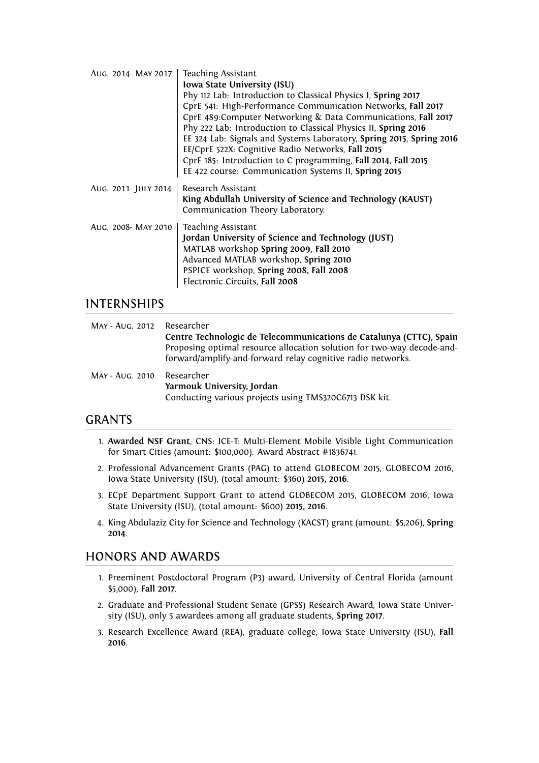| AUG. 2014- MAY 2017  | <b>Teaching Assistant</b><br>Iowa State University (ISU)<br>Phy 112 Lab: Introduction to Classical Physics I, Spring 2017<br>CprE 541: High-Performance Communication Networks, Fall 2017<br>CprE 489:Computer Networking & Data Communications, Fall 2017<br>Phy 222 Lab: Introduction to Classical Physics II, Spring 2016<br>EE 324 Lab: Signals and Systems Laboratory, Spring 2015, Spring 2016<br>EE/CprE 522X: Cognitive Radio Networks, Fall 2015<br>CprE 185: Introduction to C programming, Fall 2014, Fall 2015<br>EE 422 course: Communication Systems II, Spring 2015 |
|----------------------|------------------------------------------------------------------------------------------------------------------------------------------------------------------------------------------------------------------------------------------------------------------------------------------------------------------------------------------------------------------------------------------------------------------------------------------------------------------------------------------------------------------------------------------------------------------------------------|
| AUG. 2011- JULY 2014 | Research Assistant<br>King Abdullah University of Science and Technology (KAUST)<br>Communication Theory Laboratory.                                                                                                                                                                                                                                                                                                                                                                                                                                                               |
| AUG. 2008- MAY 2010  | <b>Teaching Assistant</b><br>Jordan University of Science and Technology (JUST)<br>MATLAB workshop Spring 2009, Fall 2010<br>Advanced MATLAB workshop, Spring 2010<br>PSPICE workshop, Spring 2008, Fall 2008<br>Electronic Circuits, Fall 2008                                                                                                                                                                                                                                                                                                                                    |

## INTERNSHIPS

| MAY - AUG. 2012 Researcher | Centre Technologic de Telecommunications de Catalunya (CTTC), Spain<br>Proposing optimal resource allocation solution for two-way decode-and-<br>forward/amplify-and-forward relay cognitive radio networks. |
|----------------------------|--------------------------------------------------------------------------------------------------------------------------------------------------------------------------------------------------------------|
| MAY - AUG. 2010 Researcher | Yarmouk University, Jordan<br>Conducting various projects using TMS320C6713 DSK kit.                                                                                                                         |

## GRANTS

- 1. **Awarded NSF Grant**, CNS: ICE-T: Multi-Element Mobile Visible Light Communication for Smart Cities (amount: \$100,000). Award Abstract #1836741.
- 2. Professional Advancement Grants (PAG) to attend GLOBECOM 2015, GLOBECOM 2016, Iowa State University (ISU), (total amount: \$360) **2015, 2016**.
- 3. ECpE Department Support Grant to attend GLOBECOM 2015, GLOBECOM 2016, Iowa State University (ISU), (total amount: \$600) **2015, 2016**.
- 4. King Abdulaziz City for Science and Technology (KACST) grant (amount: \$5,206), **Spring 2014**.

## HONORS AND AWARDS

- 1. Preeminent Postdoctoral Program (P3) award, University of Central Florida (amount \$5,000), **Fall 2017**.
- 2. Graduate and Professional Student Senate (GPSS) Research Award, Iowa State University (ISU), only 5 awardees among all graduate students, **Spring 2017**.
- 3. Research Excellence Award (REA), graduate college, Iowa State University (ISU), **Fall 2016**.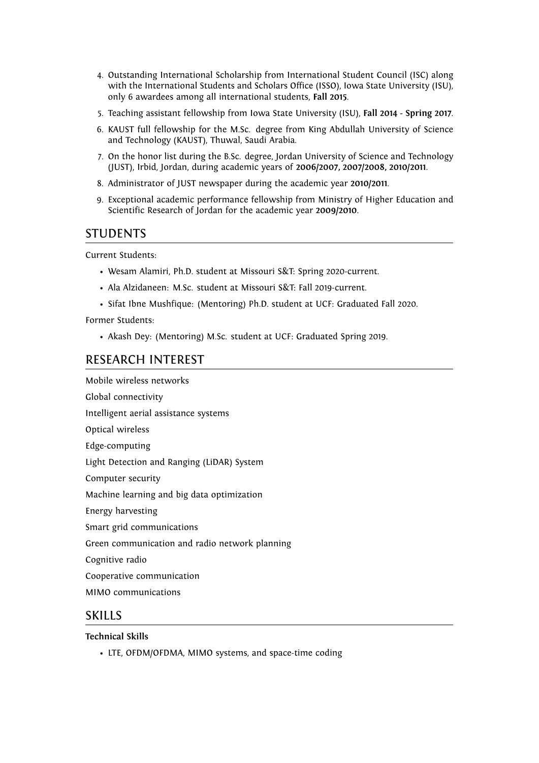- 4. Outstanding International Scholarship from International Student Council (ISC) along with the International Students and Scholars Office (ISSO), Iowa State University (ISU), only 6 awardees among all international students, **Fall 2015**.
- 5. Teaching assistant fellowship from Iowa State University (ISU), **Fall 2014 Spring 2017**.
- 6. KAUST full fellowship for the M.Sc. degree from King Abdullah University of Science and Technology (KAUST), Thuwal, Saudi Arabia.
- 7. On the honor list during the B.Sc. degree, Jordan University of Science and Technology (JUST), Irbid, Jordan, during academic years of **2006/2007, 2007/2008, 2010/2011**.
- 8. Administrator of JUST newspaper during the academic year **2010/2011**.
- 9. Exceptional academic performance fellowship from Ministry of Higher Education and Scientific Research of Jordan for the academic year **2009/2010**.

## STUDENTS

Current Students:

- Wesam Alamiri, Ph.D. student at Missouri S&T: Spring 2020-current.
- Ala Alzidaneen: M.Sc. student at Missouri S&T: Fall 2019-current.
- Sifat Ibne Mushfique: (Mentoring) Ph.D. student at UCF: Graduated Fall 2020.

Former Students:

• Akash Dey: (Mentoring) M.Sc. student at UCF: Graduated Spring 2019.

## RESEARCH INTEREST

Mobile wireless networks Global connectivity

Intelligent aerial assistance systems

Optical wireless

Edge-computing

Light Detection and Ranging (LiDAR) System

Computer security

Machine learning and big data optimization

Energy harvesting

Smart grid communications

Green communication and radio network planning

Cognitive radio

Cooperative communication

MIMO communications

## **SKILLS**

#### **Technical Skills**

• LTE, OFDM/OFDMA, MIMO systems, and space-time coding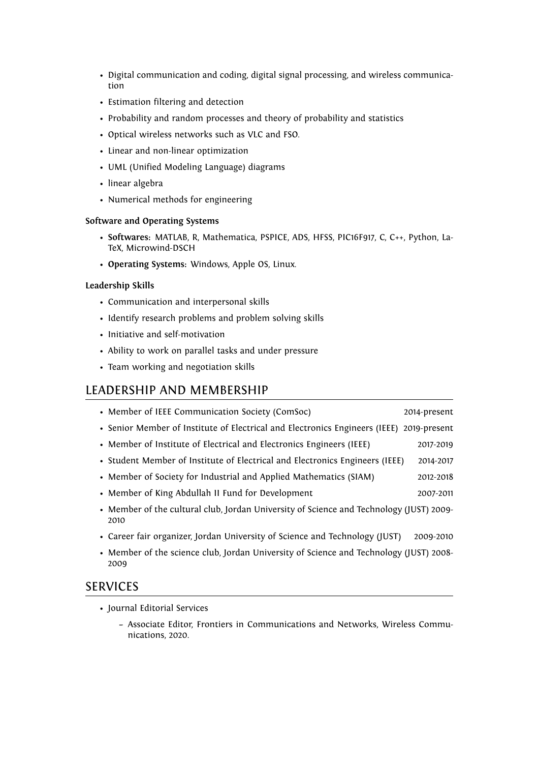- Digital communication and coding, digital signal processing, and wireless communication
- Estimation filtering and detection
- Probability and random processes and theory of probability and statistics
- Optical wireless networks such as VLC and FSO.
- Linear and non-linear optimization
- UML (Unified Modeling Language) diagrams
- linear algebra
- Numerical methods for engineering

#### **Software and Operating Systems**

- **Softwares:** MATLAB, R, Mathematica, PSPICE, ADS, HFSS, PIC16F917, C, C++, Python, La-TeX, Microwind-DSCH
- **Operating Systems:** Windows, Apple OS, Linux.

#### **Leadership Skills**

- Communication and interpersonal skills
- Identify research problems and problem solving skills
- Initiative and self-motivation
- Ability to work on parallel tasks and under pressure
- Team working and negotiation skills

## LEADERSHIP AND MEMBERSHIP

- Member of IEEE Communication Society (ComSoc) 2014-present • Senior Member of Institute of Electrical and Electronics Engineers (IEEE) 2019-present
- Member of Institute of Electrical and Electronics Engineers (IEEE) 2017-2019
- Student Member of Institute of Electrical and Electronics Engineers (IEEE) 2014-2017
- Member of Society for Industrial and Applied Mathematics (SIAM) 2012-2018
- Member of King Abdullah II Fund for Development 2007-2011
- Member of the cultural club, Jordan University of Science and Technology (JUST) 2009- 2010
- Career fair organizer, Jordan University of Science and Technology (JUST) 2009-2010
- Member of the science club, Jordan University of Science and Technology (JUST) 2008- 2009

## SERVICES

- Journal Editorial Services
	- **–** Associate Editor, Frontiers in Communications and Networks, Wireless Communications, 2020.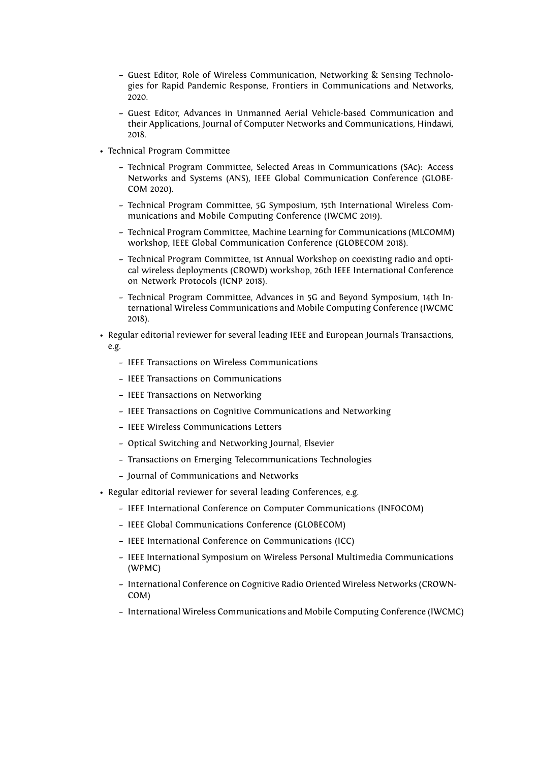- **–** Guest Editor, Role of Wireless Communication, Networking & Sensing Technologies for Rapid Pandemic Response, Frontiers in Communications and Networks, 2020.
- **–** Guest Editor, Advances in Unmanned Aerial Vehicle-based Communication and their Applications, Journal of Computer Networks and Communications, Hindawi, 2018.
- Technical Program Committee
	- **–** Technical Program Committee, Selected Areas in Communications (SAc): Access Networks and Systems (ANS), IEEE Global Communication Conference (GLOBE-COM 2020).
	- **–** Technical Program Committee, 5G Symposium, 15th International Wireless Communications and Mobile Computing Conference (IWCMC 2019).
	- **–** Technical Program Committee, Machine Learning for Communications (MLCOMM) workshop, IEEE Global Communication Conference (GLOBECOM 2018).
	- **–** Technical Program Committee, 1st Annual Workshop on coexisting radio and optical wireless deployments (CROWD) workshop, 26th IEEE International Conference on Network Protocols (ICNP 2018).
	- **–** Technical Program Committee, Advances in 5G and Beyond Symposium, 14th International Wireless Communications and Mobile Computing Conference (IWCMC 2018).
- Regular editorial reviewer for several leading IEEE and European Journals Transactions, e.g.
	- **–** IEEE Transactions on Wireless Communications
	- **–** IEEE Transactions on Communications
	- **–** IEEE Transactions on Networking
	- **–** IEEE Transactions on Cognitive Communications and Networking
	- **–** IEEE Wireless Communications Letters
	- **–** Optical Switching and Networking Journal, Elsevier
	- **–** Transactions on Emerging Telecommunications Technologies
	- **–** Journal of Communications and Networks
- Regular editorial reviewer for several leading Conferences, e.g.
	- **–** IEEE International Conference on Computer Communications (INFOCOM)
	- **–** IEEE Global Communications Conference (GLOBECOM)
	- **–** IEEE International Conference on Communications (ICC)
	- **–** IEEE International Symposium on Wireless Personal Multimedia Communications (WPMC)
	- **–** International Conference on Cognitive Radio Oriented Wireless Networks (CROWN-COM)
	- **–** International Wireless Communications and Mobile Computing Conference (IWCMC)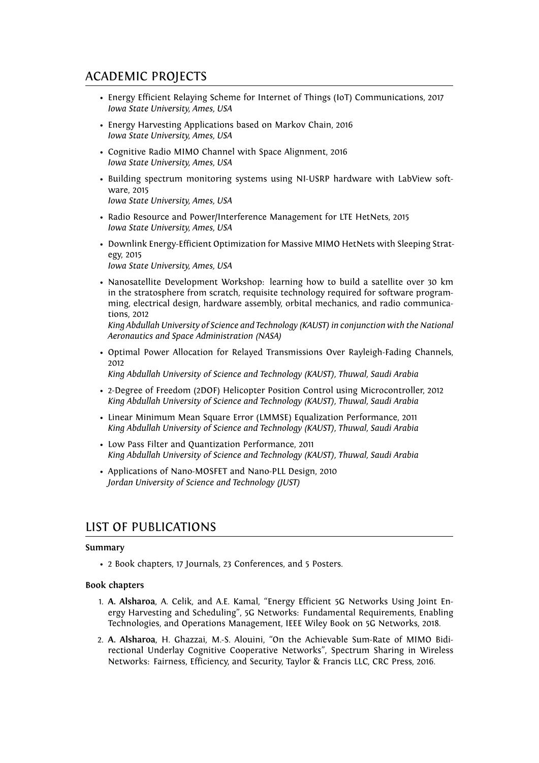## ACADEMIC PROJECTS

- Energy Efficient Relaying Scheme for Internet of Things (IoT) Communications, 2017 *Iowa State University, Ames, USA*
- Energy Harvesting Applications based on Markov Chain, 2016 *Iowa State University, Ames, USA*
- Cognitive Radio MIMO Channel with Space Alignment, 2016 *Iowa State University, Ames, USA*
- Building spectrum monitoring systems using NI-USRP hardware with LabView software, 2015 *Iowa State University, Ames, USA*
- Radio Resource and Power/Interference Management for LTE HetNets, 2015 *Iowa State University, Ames, USA*
- Downlink Energy-Efficient Optimization for Massive MIMO HetNets with Sleeping Strategy, 2015 *Iowa State University, Ames, USA*
- Nanosatellite Development Workshop: learning how to build a satellite over 30 km in the stratosphere from scratch, requisite technology required for software programming, electrical design, hardware assembly, orbital mechanics, and radio communications, 2012

*King Abdullah University of Science and Technology (KAUST) in conjunction with the National Aeronautics and Space Administration (NASA)*

• Optimal Power Allocation for Relayed Transmissions Over Rayleigh-Fading Channels, 2012

*King Abdullah University of Science and Technology (KAUST), Thuwal, Saudi Arabia*

- 2-Degree of Freedom (2DOF) Helicopter Position Control using Microcontroller, 2012 *King Abdullah University of Science and Technology (KAUST), Thuwal, Saudi Arabia*
- Linear Minimum Mean Square Error (LMMSE) Equalization Performance, 2011 *King Abdullah University of Science and Technology (KAUST), Thuwal, Saudi Arabia*
- Low Pass Filter and Quantization Performance, 2011 *King Abdullah University of Science and Technology (KAUST), Thuwal, Saudi Arabia*
- Applications of Nano-MOSFET and Nano-PLL Design, 2010 *Jordan University of Science and Technology (JUST)*

## LIST OF PUBLICATIONS

#### **Summary**

• 2 Book chapters, 17 Journals, 23 Conferences, and 5 Posters.

#### **Book chapters**

- 1. **A. Alsharoa**, A. Celik, and A.E. Kamal, "Energy Efficient 5G Networks Using Joint Energy Harvesting and Scheduling", 5G Networks: Fundamental Requirements, Enabling Technologies, and Operations Management, IEEE Wiley Book on 5G Networks, 2018.
- 2. **A. Alsharoa**, H. Ghazzai, M.-S. Alouini, "On the Achievable Sum-Rate of MIMO Bidirectional Underlay Cognitive Cooperative Networks", Spectrum Sharing in Wireless Networks: Fairness, Efficiency, and Security, Taylor & Francis LLC, CRC Press, 2016.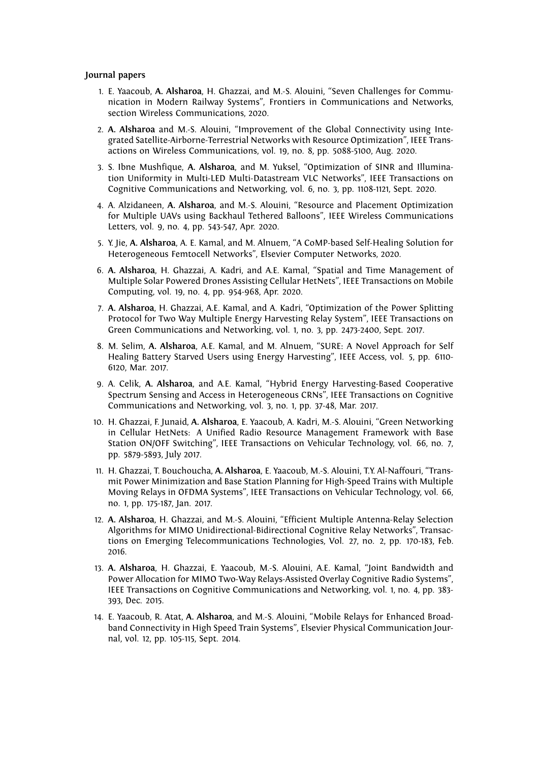#### **Journal papers**

- 1. E. Yaacoub, **A. Alsharoa**, H. Ghazzai, and M.-S. Alouini, "Seven Challenges for Communication in Modern Railway Systems", Frontiers in Communications and Networks, section Wireless Communications, 2020.
- 2. **A. Alsharoa** and M.-S. Alouini, "Improvement of the Global Connectivity using Integrated Satellite-Airborne-Terrestrial Networks with Resource Optimization", IEEE Transactions on Wireless Communications, vol. 19, no. 8, pp. 5088-5100, Aug. 2020.
- 3. S. Ibne Mushfique, **A. Alsharoa**, and M. Yuksel, "Optimization of SINR and Illumination Uniformity in Multi-LED Multi-Datastream VLC Networks", IEEE Transactions on Cognitive Communications and Networking, vol. 6, no. 3, pp. 1108-1121, Sept. 2020.
- 4. A. Alzidaneen, **A. Alsharoa**, and M.-S. Alouini, "Resource and Placement Optimization for Multiple UAVs using Backhaul Tethered Balloons", IEEE Wireless Communications Letters, vol. 9, no. 4, pp. 543-547, Apr. 2020.
- 5. Y. Jie, **A. Alsharoa**, A. E. Kamal, and M. Alnuem, "A CoMP-based Self-Healing Solution for Heterogeneous Femtocell Networks", Elsevier Computer Networks, 2020.
- 6. **A. Alsharoa**, H. Ghazzai, A. Kadri, and A.E. Kamal, "Spatial and Time Management of Multiple Solar Powered Drones Assisting Cellular HetNets", IEEE Transactions on Mobile Computing, vol. 19, no. 4, pp. 954-968, Apr. 2020.
- 7. **A. Alsharoa**, H. Ghazzai, A.E. Kamal, and A. Kadri, "Optimization of the Power Splitting Protocol for Two Way Multiple Energy Harvesting Relay System", IEEE Transactions on Green Communications and Networking, vol. 1, no. 3, pp. 2473-2400, Sept. 2017.
- 8. M. Selim, **A. Alsharoa**, A.E. Kamal, and M. Alnuem, "SURE: A Novel Approach for Self Healing Battery Starved Users using Energy Harvesting", IEEE Access, vol. 5, pp. 6110- 6120, Mar. 2017.
- 9. A. Celik, **A. Alsharoa**, and A.E. Kamal, "Hybrid Energy Harvesting-Based Cooperative Spectrum Sensing and Access in Heterogeneous CRNs", IEEE Transactions on Cognitive Communications and Networking, vol. 3, no. 1, pp. 37-48, Mar. 2017.
- 10. H. Ghazzai, F. Junaid, **A. Alsharoa**, E. Yaacoub, A. Kadri, M.-S. Alouini, "Green Networking in Cellular HetNets: A Unified Radio Resource Management Framework with Base Station ON/OFF Switching", IEEE Transactions on Vehicular Technology, vol. 66, no. 7, pp. 5879-5893, July 2017.
- 11. H. Ghazzai, T. Bouchoucha, **A. Alsharoa**, E. Yaacoub, M.-S. Alouini, T.Y. Al-Naffouri, "Transmit Power Minimization and Base Station Planning for High-Speed Trains with Multiple Moving Relays in OFDMA Systems", IEEE Transactions on Vehicular Technology, vol. 66, no. 1, pp. 175-187, Jan. 2017.
- 12. **A. Alsharoa**, H. Ghazzai, and M.-S. Alouini, "Efficient Multiple Antenna-Relay Selection Algorithms for MIMO Unidirectional-Bidirectional Cognitive Relay Networks", Transactions on Emerging Telecommunications Technologies, Vol. 27, no. 2, pp. 170-183, Feb. 2016.
- 13. **A. Alsharoa**, H. Ghazzai, E. Yaacoub, M.-S. Alouini, A.E. Kamal, "Joint Bandwidth and Power Allocation for MIMO Two-Way Relays-Assisted Overlay Cognitive Radio Systems", IEEE Transactions on Cognitive Communications and Networking, vol. 1, no. 4, pp. 383- 393, Dec. 2015.
- 14. E. Yaacoub, R. Atat, **A. Alsharoa**, and M.-S. Alouini, "Mobile Relays for Enhanced Broadband Connectivity in High Speed Train Systems", Elsevier Physical Communication Journal, vol. 12, pp. 105-115, Sept. 2014.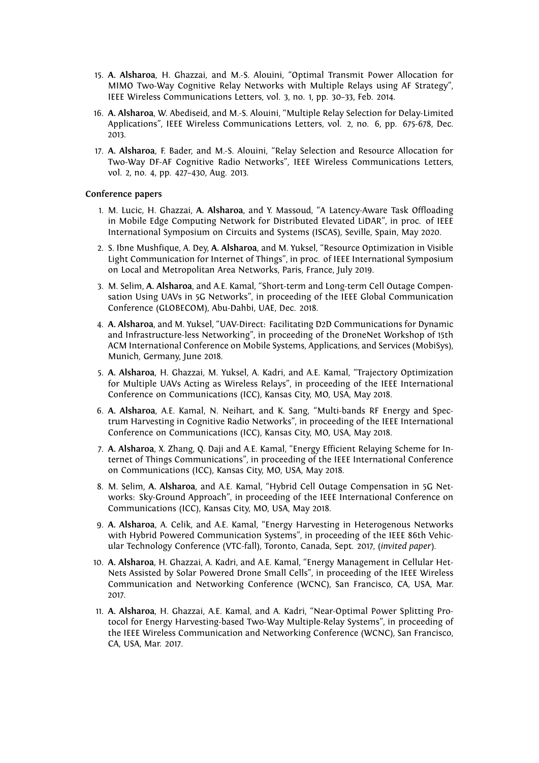- 15. **A. Alsharoa**, H. Ghazzai, and M.-S. Alouini, "Optimal Transmit Power Allocation for MIMO Two-Way Cognitive Relay Networks with Multiple Relays using AF Strategy", IEEE Wireless Communications Letters, vol. 3, no. 1, pp. 30–33, Feb. 2014.
- 16. **A. Alsharoa**, W. Abediseid, and M.-S. Alouini, "Multiple Relay Selection for Delay-Limited Applications", IEEE Wireless Communications Letters, vol. 2, no. 6, pp. 675-678, Dec. 2013.
- 17. **A. Alsharoa**, F. Bader, and M.-S. Alouini, "Relay Selection and Resource Allocation for Two-Way DF-AF Cognitive Radio Networks", IEEE Wireless Communications Letters, vol. 2, no. 4, pp. 427–430, Aug. 2013.

#### **Conference papers**

- 1. M. Lucic, H. Ghazzai, **A. Alsharoa**, and Y. Massoud, "A Latency-Aware Task Offloading in Mobile Edge Computing Network for Distributed Elevated LiDAR", in proc. of IEEE International Symposium on Circuits and Systems (ISCAS), Seville, Spain, May 2020.
- 2. S. Ibne Mushfique, A. Dey, **A. Alsharoa**, and M. Yuksel, "Resource Optimization in Visible Light Communication for Internet of Things", in proc. of IEEE International Symposium on Local and Metropolitan Area Networks, Paris, France, July 2019.
- 3. M. Selim, **A. Alsharoa**, and A.E. Kamal, "Short-term and Long-term Cell Outage Compensation Using UAVs in 5G Networks", in proceeding of the IEEE Global Communication Conference (GLOBECOM), Abu-Dahbi, UAE, Dec. 2018.
- 4. **A. Alsharoa**, and M. Yuksel, "UAV-Direct: Facilitating D2D Communications for Dynamic and Infrastructure-less Networking", in proceeding of the DroneNet Workshop of 15th ACM International Conference on Mobile Systems, Applications, and Services (MobiSys), Munich, Germany, June 2018.
- 5. **A. Alsharoa**, H. Ghazzai, M. Yuksel, A. Kadri, and A.E. Kamal, "Trajectory Optimization for Multiple UAVs Acting as Wireless Relays", in proceeding of the IEEE International Conference on Communications (ICC), Kansas City, MO, USA, May 2018.
- 6. **A. Alsharoa**, A.E. Kamal, N. Neihart, and K. Sang, "Multi-bands RF Energy and Spectrum Harvesting in Cognitive Radio Networks", in proceeding of the IEEE International Conference on Communications (ICC), Kansas City, MO, USA, May 2018.
- 7. **A. Alsharoa**, X. Zhang, Q. Daji and A.E. Kamal, "Energy Efficient Relaying Scheme for Internet of Things Communications", in proceeding of the IEEE International Conference on Communications (ICC), Kansas City, MO, USA, May 2018.
- 8. M. Selim, **A. Alsharoa**, and A.E. Kamal, "Hybrid Cell Outage Compensation in 5G Networks: Sky-Ground Approach", in proceeding of the IEEE International Conference on Communications (ICC), Kansas City, MO, USA, May 2018.
- 9. **A. Alsharoa**, A. Celik, and A.E. Kamal, "Energy Harvesting in Heterogenous Networks with Hybrid Powered Communication Systems", in proceeding of the IEEE 86th Vehicular Technology Conference (VTC-fall), Toronto, Canada, Sept. 2017, (*invited paper*).
- 10. **A. Alsharoa**, H. Ghazzai, A. Kadri, and A.E. Kamal, "Energy Management in Cellular Het-Nets Assisted by Solar Powered Drone Small Cells", in proceeding of the IEEE Wireless Communication and Networking Conference (WCNC), San Francisco, CA, USA, Mar. 2017.
- 11. **A. Alsharoa**, H. Ghazzai, A.E. Kamal, and A. Kadri, "Near-Optimal Power Splitting Protocol for Energy Harvesting-based Two-Way Multiple-Relay Systems", in proceeding of the IEEE Wireless Communication and Networking Conference (WCNC), San Francisco, CA, USA, Mar. 2017.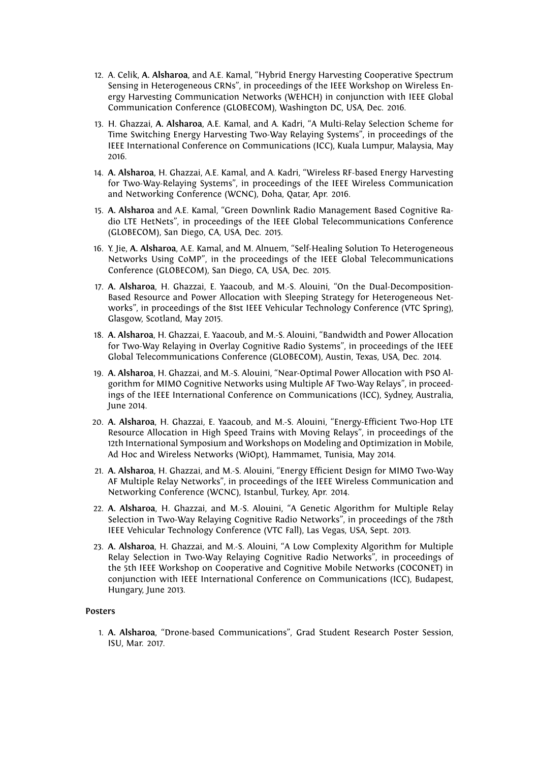- 12. A. Celik, **A. Alsharoa**, and A.E. Kamal, "Hybrid Energy Harvesting Cooperative Spectrum Sensing in Heterogeneous CRNs", in proceedings of the IEEE Workshop on Wireless Energy Harvesting Communication Networks (WEHCH) in conjunction with IEEE Global Communication Conference (GLOBECOM), Washington DC, USA, Dec. 2016.
- 13. H. Ghazzai, **A. Alsharoa**, A.E. Kamal, and A. Kadri, "A Multi-Relay Selection Scheme for Time Switching Energy Harvesting Two-Way Relaying Systems", in proceedings of the IEEE International Conference on Communications (ICC), Kuala Lumpur, Malaysia, May 2016.
- 14. **A. Alsharoa**, H. Ghazzai, A.E. Kamal, and A. Kadri, "Wireless RF-based Energy Harvesting for Two-Way-Relaying Systems", in proceedings of the IEEE Wireless Communication and Networking Conference (WCNC), Doha, Qatar, Apr. 2016.
- 15. **A. Alsharoa** and A.E. Kamal, "Green Downlink Radio Management Based Cognitive Radio LTE HetNets", in proceedings of the IEEE Global Telecommunications Conference (GLOBECOM), San Diego, CA, USA, Dec. 2015.
- 16. Y. Jie, **A. Alsharoa**, A.E. Kamal, and M. Alnuem, "Self-Healing Solution To Heterogeneous Networks Using CoMP", in the proceedings of the IEEE Global Telecommunications Conference (GLOBECOM), San Diego, CA, USA, Dec. 2015.
- 17. **A. Alsharoa**, H. Ghazzai, E. Yaacoub, and M.-S. Alouini, "On the Dual-Decomposition-Based Resource and Power Allocation with Sleeping Strategy for Heterogeneous Networks", in proceedings of the 81st IEEE Vehicular Technology Conference (VTC Spring), Glasgow, Scotland, May 2015.
- 18. **A. Alsharoa**, H. Ghazzai, E. Yaacoub, and M.-S. Alouini, "Bandwidth and Power Allocation for Two-Way Relaying in Overlay Cognitive Radio Systems", in proceedings of the IEEE Global Telecommunications Conference (GLOBECOM), Austin, Texas, USA, Dec. 2014.
- 19. **A. Alsharoa**, H. Ghazzai, and M.-S. Alouini, "Near-Optimal Power Allocation with PSO Algorithm for MIMO Cognitive Networks using Multiple AF Two-Way Relays", in proceedings of the IEEE International Conference on Communications (ICC), Sydney, Australia, June 2014.
- 20. **A. Alsharoa**, H. Ghazzai, E. Yaacoub, and M.-S. Alouini, "Energy-Efficient Two-Hop LTE Resource Allocation in High Speed Trains with Moving Relays", in proceedings of the 12th International Symposium and Workshops on Modeling and Optimization in Mobile, Ad Hoc and Wireless Networks (WiOpt), Hammamet, Tunisia, May 2014.
- 21. **A. Alsharoa**, H. Ghazzai, and M.-S. Alouini, "Energy Efficient Design for MIMO Two-Way AF Multiple Relay Networks", in proceedings of the IEEE Wireless Communication and Networking Conference (WCNC), Istanbul, Turkey, Apr. 2014.
- 22. **A. Alsharoa**, H. Ghazzai, and M.-S. Alouini, "A Genetic Algorithm for Multiple Relay Selection in Two-Way Relaying Cognitive Radio Networks", in proceedings of the 78th IEEE Vehicular Technology Conference (VTC Fall), Las Vegas, USA, Sept. 2013.
- 23. **A. Alsharoa**, H. Ghazzai, and M.-S. Alouini, "A Low Complexity Algorithm for Multiple Relay Selection in Two-Way Relaying Cognitive Radio Networks", in proceedings of the 5th IEEE Workshop on Cooperative and Cognitive Mobile Networks (COCONET) in conjunction with IEEE International Conference on Communications (ICC), Budapest, Hungary, June 2013.

#### **Posters**

1. **A. Alsharoa**, "Drone-based Communications", Grad Student Research Poster Session, ISU, Mar. 2017.